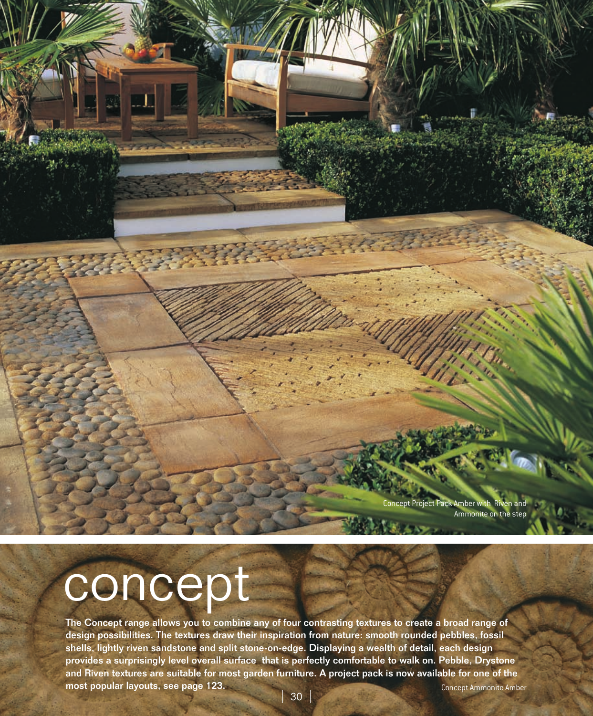ot Project Pack Amber with Riven and Ammonite on the step

## concept

The Concept range allows you to combine any of four contrasting textures to create a broad range of design possibilities. The textures draw their inspiration from nature: smooth rounded pebbles, fossil shells, lightly riven sandstone and split stone-on-edge. Displaying a wealth of detail, each design provides a surprisingly level overall surface that is perfectly comfortable to walk on. Pebble, Drystone and Riven textures are suitable for most garden furniture. A project pack is now available for one of the most popular layouts, see page 123. Concept Ammonite Amber

30